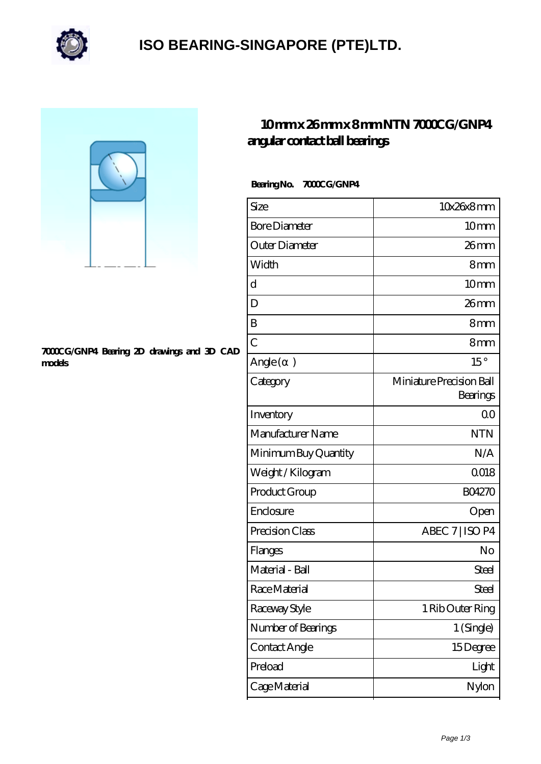

### **[ISO BEARING-SINGAPORE \(PTE\)LTD.](https://m.calvadosbnb.com)**



#### **[7000CG/GNP4 Bearing 2D drawings and 3D CAD](https://m.calvadosbnb.com/pic-65129287.html) [models](https://m.calvadosbnb.com/pic-65129287.html)**

### **[10 mm x 26 mm x 8 mm NTN 7000CG/GNP4](https://m.calvadosbnb.com/ntn-7000cg-gnp4-bearing/) [angular contact ball bearings](https://m.calvadosbnb.com/ntn-7000cg-gnp4-bearing/)**

#### Bearing No. 7000CG/GNP4

| Size                 | 10x26x8mm                            |
|----------------------|--------------------------------------|
| <b>Bore Diameter</b> | 10 <sub>mm</sub>                     |
| Outer Diameter       | 26mm                                 |
| Width                | 8mm                                  |
| d                    | 10 <sub>mm</sub>                     |
| D                    | $26$ mm                              |
| B                    | 8mm                                  |
| $\overline{C}$       | 8 <sub>mm</sub>                      |
| Angle (<br>$\big)$   | $15^{\circ}$                         |
| Category             | Miniature Precision Ball<br>Bearings |
| Inventory            | 0 <sup>0</sup>                       |
| Manufacturer Name    | <b>NTN</b>                           |
| Minimum Buy Quantity | N/A                                  |
| Weight / Kilogram    | 0018                                 |
| Product Group        | <b>BO4270</b>                        |
| Enclosure            | Open                                 |
| Precision Class      | ABEC 7   ISO P4                      |
| Flanges              | No                                   |
| Material - Ball      | Steel                                |
| Race Material        | Steel                                |
| Raceway Style        | 1 Rib Outer Ring                     |
| Number of Bearings   | 1 (Single)                           |
| Contact Angle        | 15Degree                             |
| Preload              | Light                                |
| Cage Material        | Nylon                                |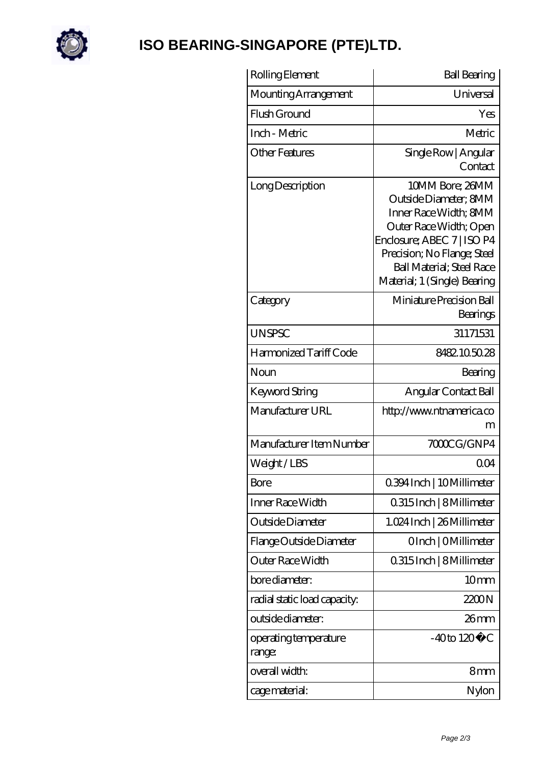

# **[ISO BEARING-SINGAPORE \(PTE\)LTD.](https://m.calvadosbnb.com)**

| Rolling Element                 | <b>Ball Bearing</b>                                                                                                                                                                                                           |
|---------------------------------|-------------------------------------------------------------------------------------------------------------------------------------------------------------------------------------------------------------------------------|
| Mounting Arrangement            | Universal                                                                                                                                                                                                                     |
| Flush Ground                    | Yes                                                                                                                                                                                                                           |
| Inch - Metric                   | Metric                                                                                                                                                                                                                        |
| <b>Other Features</b>           | Single Row   Angular<br>Contact                                                                                                                                                                                               |
| Long Description                | 10MM Bore; 26MM<br>Outside Diameter: 8MM<br>Inner Race Width; 8MM<br>Outer Race Width; Open<br>Enclosure; ABEC 7   ISO P4<br>Precision; No Flange; Steel<br><b>Ball Material</b> ; Steel Race<br>Material; 1 (Single) Bearing |
| Category                        | Miniature Precision Ball<br>Bearings                                                                                                                                                                                          |
| <b>UNSPSC</b>                   | 31171531                                                                                                                                                                                                                      |
| Harmonized Tariff Code          | 8482105028                                                                                                                                                                                                                    |
| Noun                            | Bearing                                                                                                                                                                                                                       |
| Keyword String                  | Angular Contact Ball                                                                                                                                                                                                          |
| Manufacturer URL                | http://www.ntnamerica.co<br>m                                                                                                                                                                                                 |
| Manufacturer Item Number        | 7000CG/GNP4                                                                                                                                                                                                                   |
| Weight/LBS                      | QO4                                                                                                                                                                                                                           |
| <b>Bore</b>                     | 0.394 Inch   10 Millimeter                                                                                                                                                                                                    |
| Inner Race Width                | 0.315 Inch   8 Millimeter                                                                                                                                                                                                     |
| Outside Diameter                | 1.024 Inch   26 Millimeter                                                                                                                                                                                                    |
| Flange Outside Diameter         | OInch   OMillimeter                                                                                                                                                                                                           |
| Outer Race Width                | 0.315 Inch   8 Millimeter                                                                                                                                                                                                     |
| bore diameter:                  | 10mm                                                                                                                                                                                                                          |
| radial static load capacity:    | 2200N                                                                                                                                                                                                                         |
| outside diameter:               | $26$ mm                                                                                                                                                                                                                       |
| operating temperature<br>range: | $-40$ to $120^{\circ}$ C                                                                                                                                                                                                      |
| overall width:                  | 8mm                                                                                                                                                                                                                           |
| cage material:                  | Nylon                                                                                                                                                                                                                         |